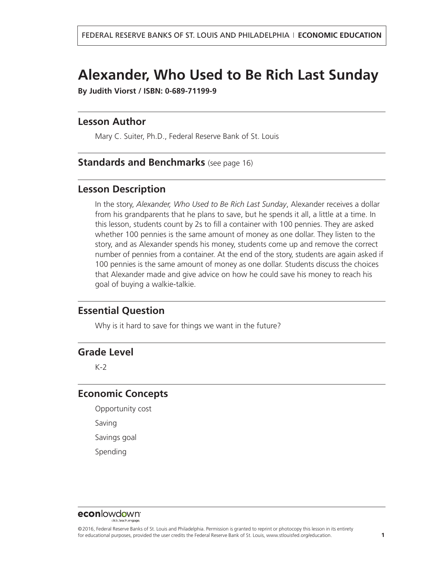# **Alexander, Who Used to Be Rich Last Sunday**

**By Judith Viorst / ISBN: 0-689-71199-9**

### **Lesson Author**

Mary C. Suiter, Ph.D., Federal Reserve Bank of St. Louis

### **Standards and Benchmarks** (see page 16)

### **Lesson Description**

In the story, *Alexander, Who Used to Be Rich Last Sunday*, Alexander receives a dollar from his grandparents that he plans to save, but he spends it all, a little at a time. In this lesson, students count by 2s to fill a container with 100 pennies. They are asked whether 100 pennies is the same amount of money as one dollar. They listen to the story, and as Alexander spends his money, students come up and remove the correct number of pennies from a container. At the end of the story, students are again asked if 100 pennies is the same amount of money as one dollar. Students discuss the choices that Alexander made and give advice on how he could save his money to reach his goal of buying a walkie-talkie.

### **Essential Question**

Why is it hard to save for things we want in the future?

# **Grade Level**

K-2

# **Economic Concepts**

Opportunity cost Saving

Savings goal

Spending

### **econlowdown**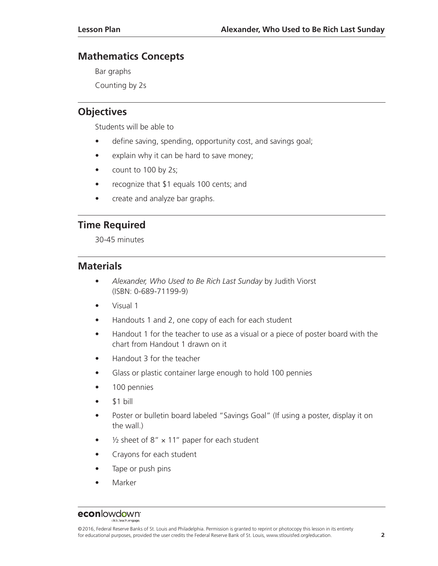# **Mathematics Concepts**

Bar graphs

Counting by 2s

# **Objectives**

Students will be able to

- define saving, spending, opportunity cost, and savings goal;
- explain why it can be hard to save money;
- count to 100 by 2s;
- recognize that \$1 equals 100 cents; and
- create and analyze bar graphs.

# **Time Required**

30-45 minutes

### **Materials**

- *Alexander, Who Used to Be Rich Last Sunday* by Judith Viorst (ISBN: 0-689-71199-9)
- Visual 1
- Handouts 1 and 2, one copy of each for each student
- Handout 1 for the teacher to use as a visual or a piece of poster board with the chart from Handout 1 drawn on it
- Handout 3 for the teacher
- Glass or plastic container large enough to hold 100 pennies
- 100 pennies
- \$1 bill
- Poster or bulletin board labeled "Savings Goal" (If using a poster, display it on the wall.)
- $\frac{1}{2}$  sheet of 8"  $\times$  11" paper for each student
- Crayons for each student
- Tape or push pins
- **Marker**

### econlowdown<sup>®</sup>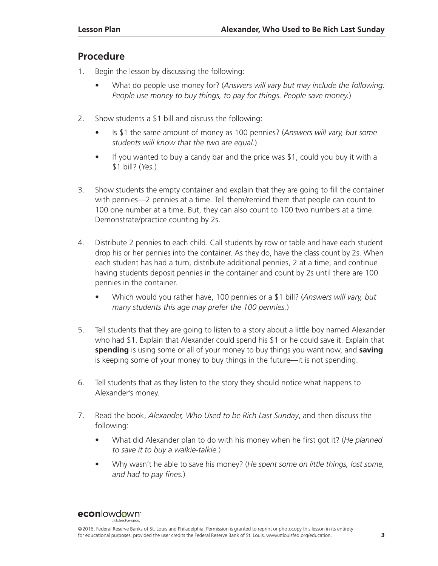# **Procedure**

- 1. Begin the lesson by discussing the following:
	- What do people use money for? (*Answers will vary but may include the following: People use money to buy things, to pay for things. People save money.*)
- 2. Show students a \$1 bill and discuss the following:
	- Is \$1 the same amount of money as 100 pennies? (*Answers will vary, but some students will know that the two are equal.*)
	- If you wanted to buy a candy bar and the price was \$1, could you buy it with a \$1 bill? (*Yes.*)
- 3. Show students the empty container and explain that they are going to fill the container with pennies—2 pennies at a time. Tell them/remind them that people can count to 100 one number at a time. But, they can also count to 100 two numbers at a time. Demonstrate/practice counting by 2s.
- 4. Distribute 2 pennies to each child. Call students by row or table and have each student drop his or her pennies into the container. As they do, have the class count by 2s. When each student has had a turn, distribute additional pennies, 2 at a time, and continue having students deposit pennies in the container and count by 2s until there are 100 pennies in the container.
	- Which would you rather have, 100 pennies or a \$1 bill? (*Answers will vary, but many students this age may prefer the 100 pennies.*)
- 5. Tell students that they are going to listen to a story about a little boy named Alexander who had \$1. Explain that Alexander could spend his \$1 or he could save it. Explain that **spending** is using some or all of your money to buy things you want now, and **saving** is keeping some of your money to buy things in the future—it is not spending.
- 6. Tell students that as they listen to the story they should notice what happens to Alexander's money.
- 7. Read the book, *Alexander, Who Used to be Rich Last Sunday*, and then discuss the following:
	- What did Alexander plan to do with his money when he first got it? (*He planned to save it to buy a walkie-talkie.*)
	- Why wasn't he able to save his money? (*He spent some on little things, lost some, and had to pay fines.*)

<sup>©2016,</sup> Federal Reserve Banks of St. Louis and Philadelphia. Permission is granted to reprint or photocopy this lesson in its entirety for educational purposes, provided the user credits the Federal Reserve Bank of St. Louis, www.stlouisfed.org/education. **3**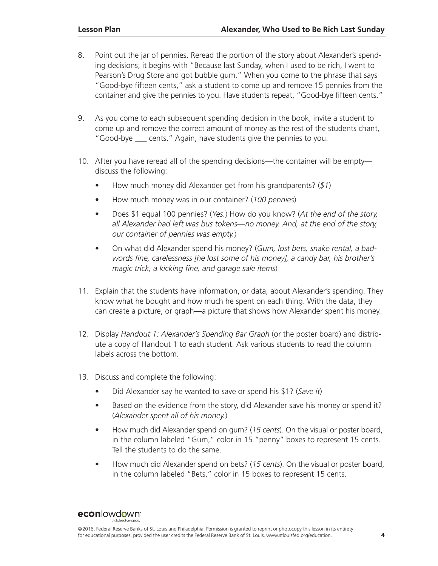- 8. Point out the jar of pennies. Reread the portion of the story about Alexander's spending decisions; it begins with "Because last Sunday, when I used to be rich, I went to Pearson's Drug Store and got bubble gum." When you come to the phrase that says "Good-bye fifteen cents," ask a student to come up and remove 15 pennies from the container and give the pennies to you. Have students repeat, "Good-bye fifteen cents."
- 9. As you come to each subsequent spending decision in the book, invite a student to come up and remove the correct amount of money as the rest of the students chant, "Good-bye \_\_\_ cents." Again, have students give the pennies to you.
- 10. After you have reread all of the spending decisions—the container will be empty discuss the following:
	- How much money did Alexander get from his grandparents? (*\$1*)
	- How much money was in our container? (*100 pennies*)
	- Does \$1 equal 100 pennies? (*Yes.*) How do you know? (*At the end of the story, all Alexander had left was bus tokens—no money. And, at the end of the story, our container of pennies was empty.*)
	- On what did Alexander spend his money? (*Gum, lost bets, snake rental, a badwords fine, carelessness [he lost some of his money], a candy bar, his brother's magic trick, a kicking fine, and garage sale items*)
- 11. Explain that the students have information, or data, about Alexander's spending. They know what he bought and how much he spent on each thing. With the data, they can create a picture, or graph—a picture that shows how Alexander spent his money.
- 12. Display *Handout 1: Alexander's Spending Bar Graph* (or the poster board) and distribute a copy of Handout 1 to each student. Ask various students to read the column labels across the bottom.
- 13. Discuss and complete the following:
	- Did Alexander say he wanted to save or spend his \$1? (*Save it*)
	- Based on the evidence from the story, did Alexander save his money or spend it? (*Alexander spent all of his money.*)
	- How much did Alexander spend on gum? (*15 cents*). On the visual or poster board, in the column labeled "Gum," color in 15 "penny" boxes to represent 15 cents. Tell the students to do the same.
	- How much did Alexander spend on bets? (*15 cents*). On the visual or poster board, in the column labeled "Bets," color in 15 boxes to represent 15 cents.

<sup>©2016,</sup> Federal Reserve Banks of St. Louis and Philadelphia. Permission is granted to reprint or photocopy this lesson in its entirety for educational purposes, provided the user credits the Federal Reserve Bank of St. Louis, www.stlouisfed.org/education. **4**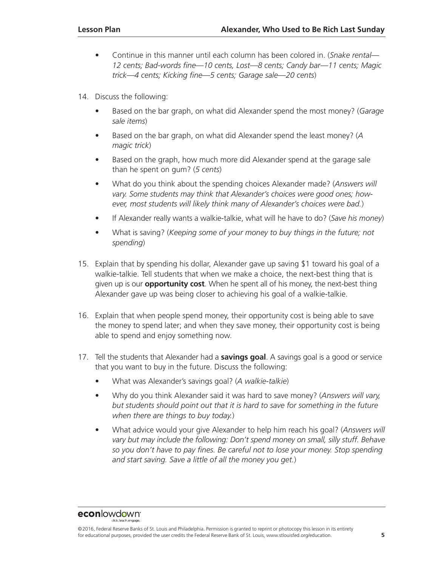- Continue in this manner until each column has been colored in. (*Snake rental— 12 cents; Bad-words fine—10 cents, Lost—8 cents; Candy bar—11 cents; Magic trick—4 cents; Kicking fine—5 cents; Garage sale—20 cents*)
- 14. Discuss the following:
	- Based on the bar graph, on what did Alexander spend the most money? (*Garage sale items*)
	- Based on the bar graph, on what did Alexander spend the least money? (*A magic trick*)
	- Based on the graph, how much more did Alexander spend at the garage sale than he spent on gum? (*5 cents*)
	- What do you think about the spending choices Alexander made? (*Answers will vary. Some students may think that Alexander's choices were good ones; however, most students will likely think many of Alexander's choices were bad.*)
	- If Alexander really wants a walkie-talkie, what will he have to do? (*Save his money*)
	- What is saving? (*Keeping some of your money to buy things in the future; not spending*)
- 15. Explain that by spending his dollar, Alexander gave up saving \$1 toward his goal of a walkie-talkie. Tell students that when we make a choice, the next-best thing that is given up is our **opportunity cost**. When he spent all of his money, the next-best thing Alexander gave up was being closer to achieving his goal of a walkie-talkie.
- 16. Explain that when people spend money, their opportunity cost is being able to save the money to spend later; and when they save money, their opportunity cost is being able to spend and enjoy something now.
- 17. Tell the students that Alexander had a **savings goal**. A savings goal is a good or service that you want to buy in the future. Discuss the following:
	- What was Alexander's savings goal? (*A walkie-talkie*)
	- Why do you think Alexander said it was hard to save money? (*Answers will vary, but students should point out that it is hard to save for something in the future when there are things to buy today.*)
	- What advice would your give Alexander to help him reach his goal? (*Answers will vary but may include the following: Don't spend money on small, silly stuff. Behave so you don't have to pay fines. Be careful not to lose your money. Stop spending and start saving. Save a little of all the money you get.*)

<sup>©2016,</sup> Federal Reserve Banks of St. Louis and Philadelphia. Permission is granted to reprint or photocopy this lesson in its entirety for educational purposes, provided the user credits the Federal Reserve Bank of St. Louis, www.stlouisfed.org/education. **5**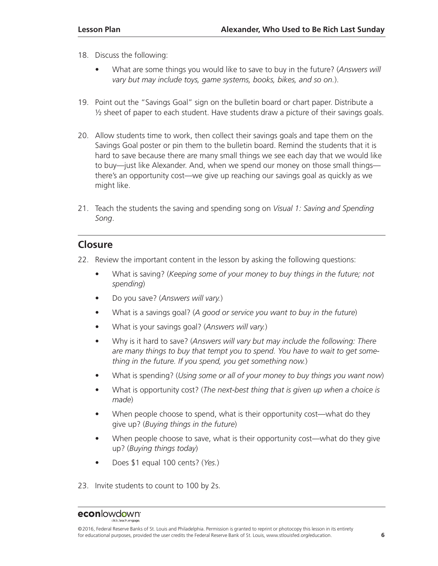- 18. Discuss the following:
	- What are some things you would like to save to buy in the future? (*Answers will vary but may include toys, game systems, books, bikes, and so on.*).
- 19. Point out the "Savings Goal" sign on the bulletin board or chart paper. Distribute a  $\frac{1}{2}$  sheet of paper to each student. Have students draw a picture of their savings goals.
- 20. Allow students time to work, then collect their savings goals and tape them on the Savings Goal poster or pin them to the bulletin board. Remind the students that it is hard to save because there are many small things we see each day that we would like to buy—just like Alexander. And, when we spend our money on those small things there's an opportunity cost—we give up reaching our savings goal as quickly as we might like.
- 21. Teach the students the saving and spending song on *Visual 1: Saving and Spending Song*.

# **Closure**

- 22. Review the important content in the lesson by asking the following questions:
	- What is saving? (*Keeping some of your money to buy things in the future; not spending*)
	- Do you save? (*Answers will vary.*)
	- What is a savings goal? (*A good or service you want to buy in the future*)
	- What is your savings goal? (*Answers will vary.*)
	- Why is it hard to save? (*Answers will vary but may include the following: There are many things to buy that tempt you to spend. You have to wait to get something in the future. If you spend, you get something now.*)
	- What is spending? (*Using some or all of your money to buy things you want now*)
	- What is opportunity cost? (*The next-best thing that is given up when a choice is made*)
	- When people choose to spend, what is their opportunity cost—what do they give up? (*Buying things in the future*)
	- When people choose to save, what is their opportunity cost—what do they give up? (*Buying things today*)
	- Does \$1 equal 100 cents? (*Yes.*)
- 23. Invite students to count to 100 by 2s.

<sup>©2016,</sup> Federal Reserve Banks of St. Louis and Philadelphia. Permission is granted to reprint or photocopy this lesson in its entirety for educational purposes, provided the user credits the Federal Reserve Bank of St. Louis, www.stlouisfed.org/education. **6**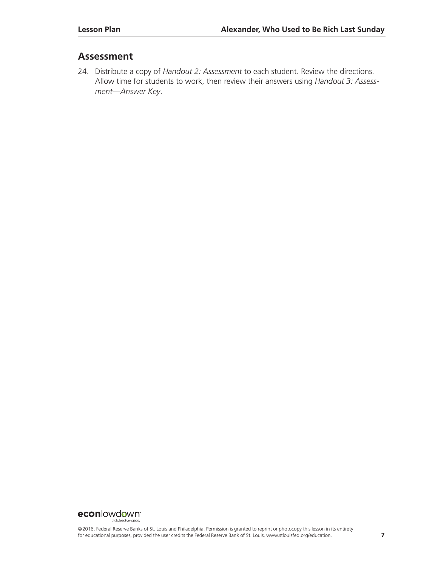# **Assessment**

24. Distribute a copy of *Handout 2: Assessment* to each student. Review the directions. Allow time for students to work, then review their answers using *Handout 3: Assessment—Answer Key*.

#### econlowdown dick teach engage.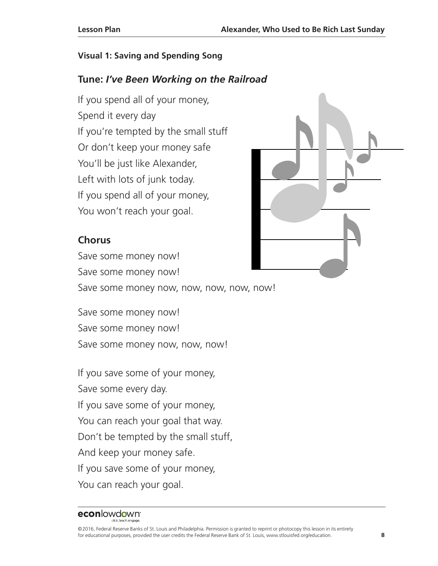# **Visual 1: Saving and Spending Song**

# **Tune:** *I've Been Working on the Railroad*

If you spend all of your money, Spend it every day If you're tempted by the small stuff Or don't keep your money safe You'll be just like Alexander, Left with lots of junk today. If you spend all of your money, You won't reach your goal.

# **Chorus**

Save some money now! Save some money now! Save some money now, now, now, now, now!

Save some money now! Save some money now! Save some money now, now, now!

If you save some of your money, Save some every day. If you save some of your money, You can reach your goal that way. Don't be tempted by the small stuff, And keep your money safe. If you save some of your money, You can reach your goal.

# econlowdown<sup>®</sup>

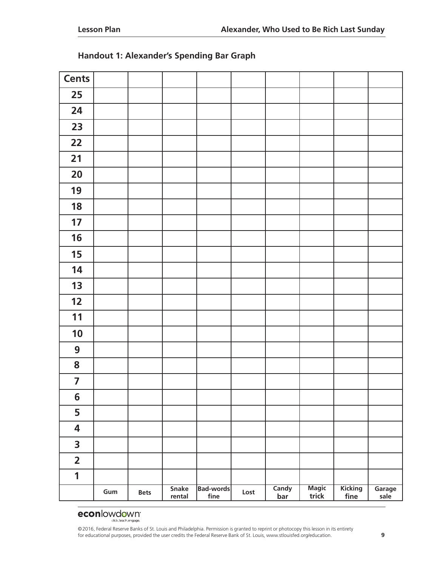| <b>Cents</b>            |     |             |                        |                          |      |                     |                              |                 |                |
|-------------------------|-----|-------------|------------------------|--------------------------|------|---------------------|------------------------------|-----------------|----------------|
| 25                      |     |             |                        |                          |      |                     |                              |                 |                |
| 24                      |     |             |                        |                          |      |                     |                              |                 |                |
| 23                      |     |             |                        |                          |      |                     |                              |                 |                |
| 22                      |     |             |                        |                          |      |                     |                              |                 |                |
| 21                      |     |             |                        |                          |      |                     |                              |                 |                |
| 20                      |     |             |                        |                          |      |                     |                              |                 |                |
| 19                      |     |             |                        |                          |      |                     |                              |                 |                |
| 18                      |     |             |                        |                          |      |                     |                              |                 |                |
| 17                      |     |             |                        |                          |      |                     |                              |                 |                |
| 16                      |     |             |                        |                          |      |                     |                              |                 |                |
| 15                      |     |             |                        |                          |      |                     |                              |                 |                |
| 14                      |     |             |                        |                          |      |                     |                              |                 |                |
| 13                      |     |             |                        |                          |      |                     |                              |                 |                |
| 12                      |     |             |                        |                          |      |                     |                              |                 |                |
| 11                      |     |             |                        |                          |      |                     |                              |                 |                |
| 10                      |     |             |                        |                          |      |                     |                              |                 |                |
| $\boldsymbol{9}$        |     |             |                        |                          |      |                     |                              |                 |                |
| 8                       |     |             |                        |                          |      |                     |                              |                 |                |
| $\overline{\mathbf{z}}$ |     |             |                        |                          |      |                     |                              |                 |                |
| 6                       |     |             |                        |                          |      |                     |                              |                 |                |
| 5                       |     |             |                        |                          |      |                     |                              |                 |                |
| 4                       |     |             |                        |                          |      |                     |                              |                 |                |
| $\overline{\mathbf{3}}$ |     |             |                        |                          |      |                     |                              |                 |                |
| $\overline{\mathbf{2}}$ |     |             |                        |                          |      |                     |                              |                 |                |
| 1                       |     |             |                        |                          |      |                     |                              |                 |                |
|                         | Gum | <b>Bets</b> | <b>Snake</b><br>rental | <b>Bad-words</b><br>fine | Lost | Candy<br><u>bar</u> | <b>Magic</b><br><b>trick</b> | Kicking<br>fine | Garage<br>sale |

# **Handout 1: Alexander's Spending Bar Graph**

#### econlowdown<sup>®</sup> dick teach engage.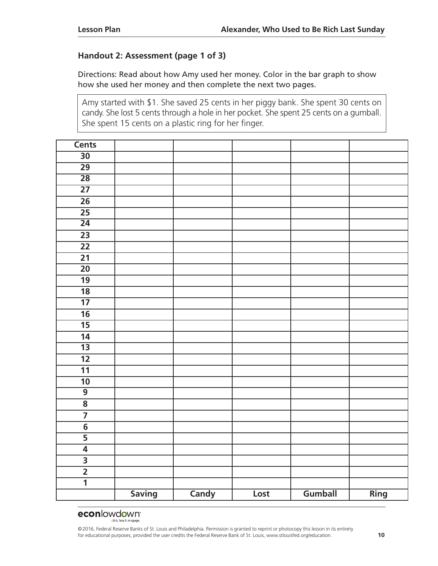### **Handout 2: Assessment (page 1 of 3)**

Directions: Read about how Amy used her money. Color in the bar graph to show how she used her money and then complete the next two pages.

Amy started with \$1. She saved 25 cents in her piggy bank. She spent 30 cents on candy. She lost 5 cents through a hole in her pocket. She spent 25 cents on a gumball. She spent 15 cents on a plastic ring for her finger.

| <b>Cents</b>            |               |              |      |         |      |
|-------------------------|---------------|--------------|------|---------|------|
| $\overline{30}$         |               |              |      |         |      |
| $\overline{29}$         |               |              |      |         |      |
| $\overline{28}$         |               |              |      |         |      |
| $\overline{27}$         |               |              |      |         |      |
| $\overline{26}$         |               |              |      |         |      |
| $\overline{25}$         |               |              |      |         |      |
| $\overline{24}$         |               |              |      |         |      |
| $\overline{23}$         |               |              |      |         |      |
| $\overline{22}$         |               |              |      |         |      |
| $\overline{21}$         |               |              |      |         |      |
| $\overline{20}$         |               |              |      |         |      |
| $\overline{19}$         |               |              |      |         |      |
| $\overline{18}$         |               |              |      |         |      |
| $\overline{17}$         |               |              |      |         |      |
| $\overline{16}$         |               |              |      |         |      |
| $\overline{15}$         |               |              |      |         |      |
| $\overline{14}$         |               |              |      |         |      |
| $\overline{13}$         |               |              |      |         |      |
| $\overline{12}$         |               |              |      |         |      |
| $\overline{11}$         |               |              |      |         |      |
| $\overline{10}$         |               |              |      |         |      |
| $\overline{9}$          |               |              |      |         |      |
| $\overline{\mathbf{8}}$ |               |              |      |         |      |
|                         |               |              |      |         |      |
| $\overline{6}$          |               |              |      |         |      |
| $\overline{5}$          |               |              |      |         |      |
| $\overline{\bf{4}}$     |               |              |      |         |      |
| $\frac{3}{2}$           |               |              |      |         |      |
|                         |               |              |      |         |      |
| $\overline{\mathbf{1}}$ |               |              |      |         |      |
|                         | <b>Saving</b> | <b>Candy</b> | Lost | Gumball | Ring |

# econlowdown<sup>®</sup>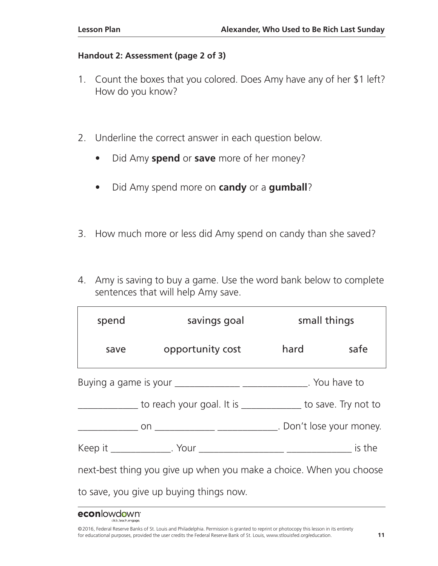### **Handout 2: Assessment (page 2 of 3)**

- 1. Count the boxes that you colored. Does Amy have any of her \$1 left? How do you know?
- 2. Underline the correct answer in each question below.
	- Did Amy **spend** or **save** more of her money?
	- Did Amy spend more on **candy** or a **gumball**?
- 3. How much more or less did Amy spend on candy than she saved?
- 4. Amy is saving to buy a game. Use the word bank below to complete sentences that will help Amy save.

| spend<br>savings goal                                               |                                                                       | small things |      |  |  |  |  |
|---------------------------------------------------------------------|-----------------------------------------------------------------------|--------------|------|--|--|--|--|
| save                                                                | opportunity cost                                                      | hard         | safe |  |  |  |  |
|                                                                     | Buying a game is your __________________________________. You have to |              |      |  |  |  |  |
|                                                                     | to reach your goal. It is _____________ to save. Try not to           |              |      |  |  |  |  |
|                                                                     |                                                                       |              |      |  |  |  |  |
|                                                                     |                                                                       |              |      |  |  |  |  |
| next-best thing you give up when you make a choice. When you choose |                                                                       |              |      |  |  |  |  |
| to save, you give up buying things now.                             |                                                                       |              |      |  |  |  |  |

### **econlowdown**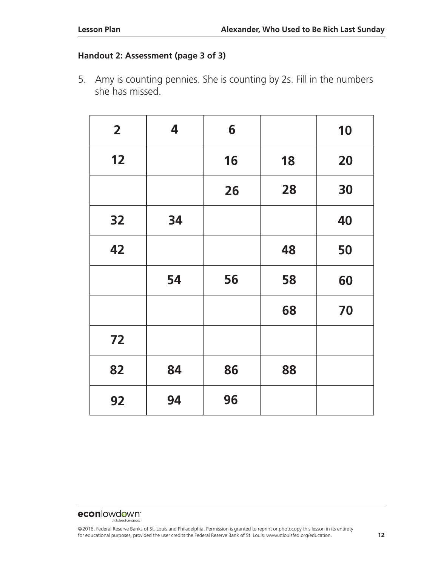# **Handout 2: Assessment (page 3 of 3)**

5. Amy is counting pennies. She is counting by 2s. Fill in the numbers she has missed.

| $\overline{2}$ | 4  | 6  |    | 10 |
|----------------|----|----|----|----|
| 12             |    | 16 | 18 | 20 |
|                |    | 26 | 28 | 30 |
| 32             | 34 |    |    | 40 |
| 42             |    |    | 48 | 50 |
|                | 54 | 56 | 58 | 60 |
|                |    |    | 68 | 70 |
| 72             |    |    |    |    |
| 82             | 84 | 86 | 88 |    |
| 92             | 94 | 96 |    |    |

#### econlowdown<sup>®</sup> dick teach engage.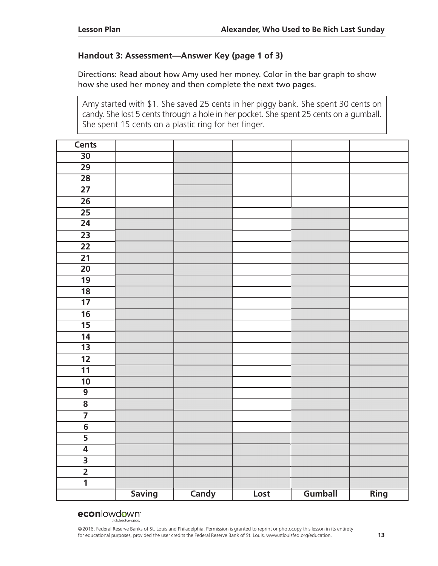### **Handout 3: Assessment—Answer Key (page 1 of 3)**

Directions: Read about how Amy used her money. Color in the bar graph to show how she used her money and then complete the next two pages.

Amy started with \$1. She saved 25 cents in her piggy bank. She spent 30 cents on candy. She lost 5 cents through a hole in her pocket. She spent 25 cents on a gumball. She spent 15 cents on a plastic ring for her finger.

| <b>Cents</b>            |               |              |      |         |      |
|-------------------------|---------------|--------------|------|---------|------|
| $\overline{30}$         |               |              |      |         |      |
| $\overline{29}$         |               |              |      |         |      |
| $\overline{28}$         |               |              |      |         |      |
| $\overline{27}$         |               |              |      |         |      |
| $\overline{26}$         |               |              |      |         |      |
| $\overline{25}$         |               |              |      |         |      |
| $\overline{24}$         |               |              |      |         |      |
| $\overline{23}$         |               |              |      |         |      |
| 22                      |               |              |      |         |      |
| $\overline{21}$         |               |              |      |         |      |
| $\overline{20}$         |               |              |      |         |      |
| $\overline{19}$         |               |              |      |         |      |
| $\overline{18}$         |               |              |      |         |      |
| $\overline{17}$         |               |              |      |         |      |
| $\overline{16}$         |               |              |      |         |      |
| $\overline{15}$         |               |              |      |         |      |
| 14                      |               |              |      |         |      |
| $\overline{13}$         |               |              |      |         |      |
| $\overline{12}$         |               |              |      |         |      |
| $\overline{11}$         |               |              |      |         |      |
| $\overline{10}$         |               |              |      |         |      |
| $\overline{9}$          |               |              |      |         |      |
| $\overline{\mathbf{8}}$ |               |              |      |         |      |
| $\overline{7}$          |               |              |      |         |      |
| $\overline{6}$          |               |              |      |         |      |
|                         |               |              |      |         |      |
| $\overline{4}$          |               |              |      |         |      |
| $\frac{3}{2}$           |               |              |      |         |      |
|                         |               |              |      |         |      |
| $\overline{\mathbf{1}}$ |               |              |      |         |      |
|                         | <b>Saving</b> | <b>Candy</b> | Lost | Gumball | Ring |

# econlowdown<sup>®</sup>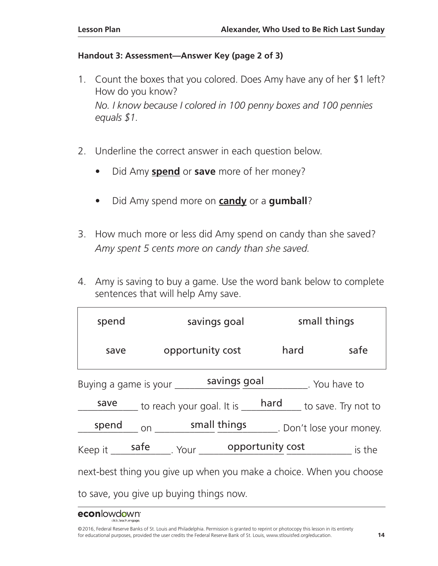# **Handout 3: Assessment—Answer Key (page 2 of 3)**

- 1. Count the boxes that you colored. Does Amy have any of her \$1 left? How do you know? *No. I know because I colored in 100 penny boxes and 100 pennies equals \$1.*
- 2. Underline the correct answer in each question below.
	- Did Amy **spend** or **save** more of her money?
	- Did Amy spend more on **candy** or a **gumball**?
- 3. How much more or less did Amy spend on candy than she saved? *Amy spent 5 cents more on candy than she saved.*
- 4. Amy is saving to buy a game. Use the word bank below to complete sentences that will help Amy save.

| spend                                                               | savings goal                                                                                                      |                                | small things |  |  |  |  |
|---------------------------------------------------------------------|-------------------------------------------------------------------------------------------------------------------|--------------------------------|--------------|--|--|--|--|
| save                                                                | opportunity cost                                                                                                  | hard                           | safe         |  |  |  |  |
|                                                                     | savings goal<br>Buying a game is your                                                                             | . You have to                  |              |  |  |  |  |
|                                                                     | $\frac{\text{save}}{\text{save}}$ to reach your goal. It is $\frac{\text{hard}}{\text{hard}}$ to save. Try not to |                                |              |  |  |  |  |
|                                                                     | spend on small things                                                                                             | ______. Don't lose your money. |              |  |  |  |  |
|                                                                     |                                                                                                                   |                                | is the       |  |  |  |  |
| next-best thing you give up when you make a choice. When you choose |                                                                                                                   |                                |              |  |  |  |  |
| to save, you give up buying things now.                             |                                                                                                                   |                                |              |  |  |  |  |

# econlowdown<sup>®</sup>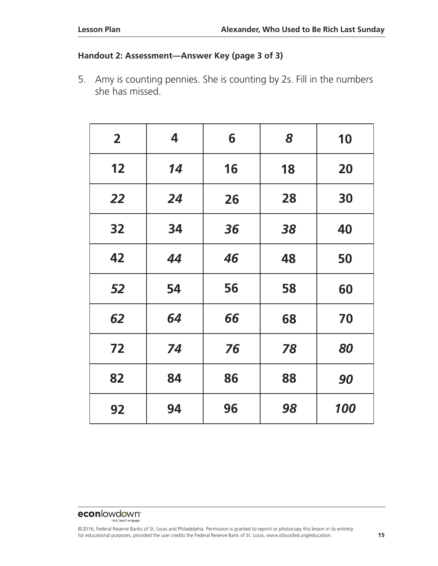### **Handout 2: Assessment—Answer Key (page 3 of 3)**

5. Amy is counting pennies. She is counting by 2s. Fill in the numbers she has missed.

| $\mathbf{2}$ | 4  | 6  | 8  | 10  |
|--------------|----|----|----|-----|
| 12           | 14 | 16 | 18 | 20  |
| <b>22</b>    | 24 | 26 | 28 | 30  |
| 32           | 34 | 36 | 38 | 40  |
| 42           | 44 | 46 | 48 | 50  |
| 52           | 54 | 56 | 58 | 60  |
| 62           | 64 | 66 | 68 | 70  |
| 72           | 74 | 76 | 78 | 80  |
| 82           | 84 | 86 | 88 | 90  |
| 92           | 94 | 96 | 98 | 100 |

#### econlowdown<sup>®</sup> dick teach engage.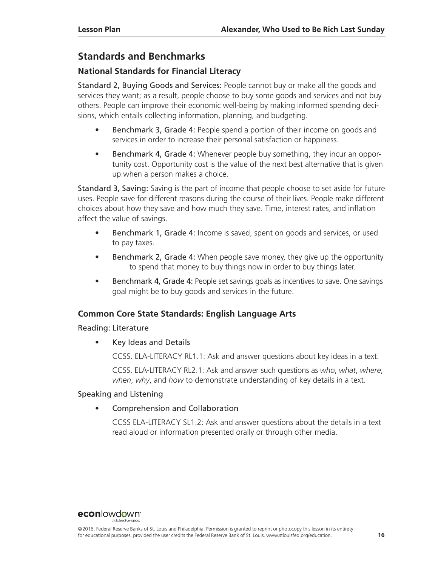# **Standards and Benchmarks**

### **National Standards for Financial Literacy**

Standard 2, Buying Goods and Services: People cannot buy or make all the goods and services they want; as a result, people choose to buy some goods and services and not buy others. People can improve their economic well-being by making informed spending decisions, which entails collecting information, planning, and budgeting.

- Benchmark 3, Grade 4: People spend a portion of their income on goods and services in order to increase their personal satisfaction or happiness.
- Benchmark 4, Grade 4: Whenever people buy something, they incur an opportunity cost. Opportunity cost is the value of the next best alternative that is given up when a person makes a choice.

Standard 3, Saving: Saving is the part of income that people choose to set aside for future uses. People save for different reasons during the course of their lives. People make different choices about how they save and how much they save. Time, interest rates, and inflation affect the value of savings.

- Benchmark 1, Grade 4: Income is saved, spent on goods and services, or used to pay taxes.
- Benchmark 2, Grade 4: When people save money, they give up the opportunity to spend that money to buy things now in order to buy things later.
- Benchmark 4, Grade 4: People set savings goals as incentives to save. One savings goal might be to buy goods and services in the future.

### **Common Core State Standards: English Language Arts**

### Reading: Literature

• Key Ideas and Details

CCSS. ELA-LITERACY RL1.1: Ask and answer questions about key ideas in a text.

CCSS. ELA-LITERACY RL2.1: Ask and answer such questions as *who*, *what*, *where*, *when*, *why*, and *how* to demonstrate understanding of key details in a text.

### Speaking and Listening

• Comprehension and Collaboration

CCSS ELA-LITERACY SL1.2: Ask and answer questions about the details in a text read aloud or information presented orally or through other media.

<sup>©2016,</sup> Federal Reserve Banks of St. Louis and Philadelphia. Permission is granted to reprint or photocopy this lesson in its entirety for educational purposes, provided the user credits the Federal Reserve Bank of St. Louis, www.stlouisfed.org/education. **16**